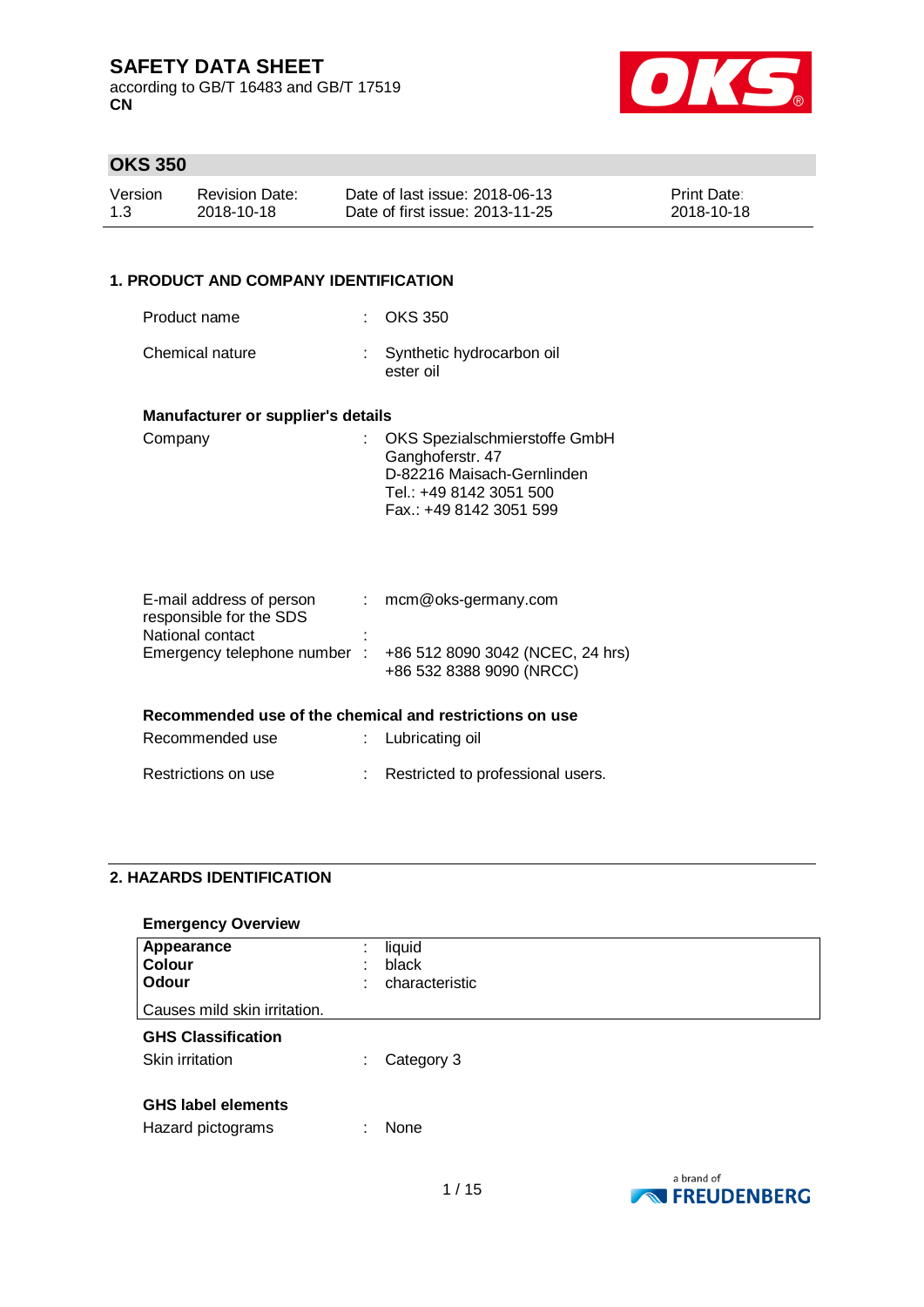according to GB/T 16483 and GB/T 17519 **CN**



## **OKS 350**

| Version | Revision Date: | Date of last issue: 2018-06-13  | <b>Print Date:</b> |
|---------|----------------|---------------------------------|--------------------|
| 1.3     | 2018-10-18     | Date of first issue: 2013-11-25 | 2018-10-18         |

### **1. PRODUCT AND COMPANY IDENTIFICATION**

| Product name    | $\therefore$ OKS 350                     |
|-----------------|------------------------------------------|
| Chemical nature | : Synthetic hydrocarbon oil<br>ester oil |

#### **Manufacturer or supplier's details**

| Company | : OKS Spezialschmierstoffe GmbH |
|---------|---------------------------------|
|         | Ganghoferstr. 47                |
|         | D-82216 Maisach-Gernlinden      |
|         | Tel.: +49 8142 3051 500         |
|         | Fax.: +49 8142 3051 599         |

| E-mail address of person<br>responsible for the SDS     |   | mcm@oks-germany.com                                          |
|---------------------------------------------------------|---|--------------------------------------------------------------|
| National contact                                        | ٠ |                                                              |
| Emergency telephone number:                             |   | +86 512 8090 3042 (NCEC, 24 hrs)<br>+86 532 8388 9090 (NRCC) |
| Recommended use of the chemical and restrictions on use |   |                                                              |
| Recommended use                                         |   | : Lubricating oil                                            |

## Restrictions on use : Restricted to professional users.

### **2. HAZARDS IDENTIFICATION**

# **Emergency Overview Appearance** : liquid<br>**Colour** : black **Colour** : black<br> **Colour** : chara **Odour** : characteristic Causes mild skin irritation. **GHS Classification** Skin irritation : Category 3 **GHS label elements** Hazard pictograms : None

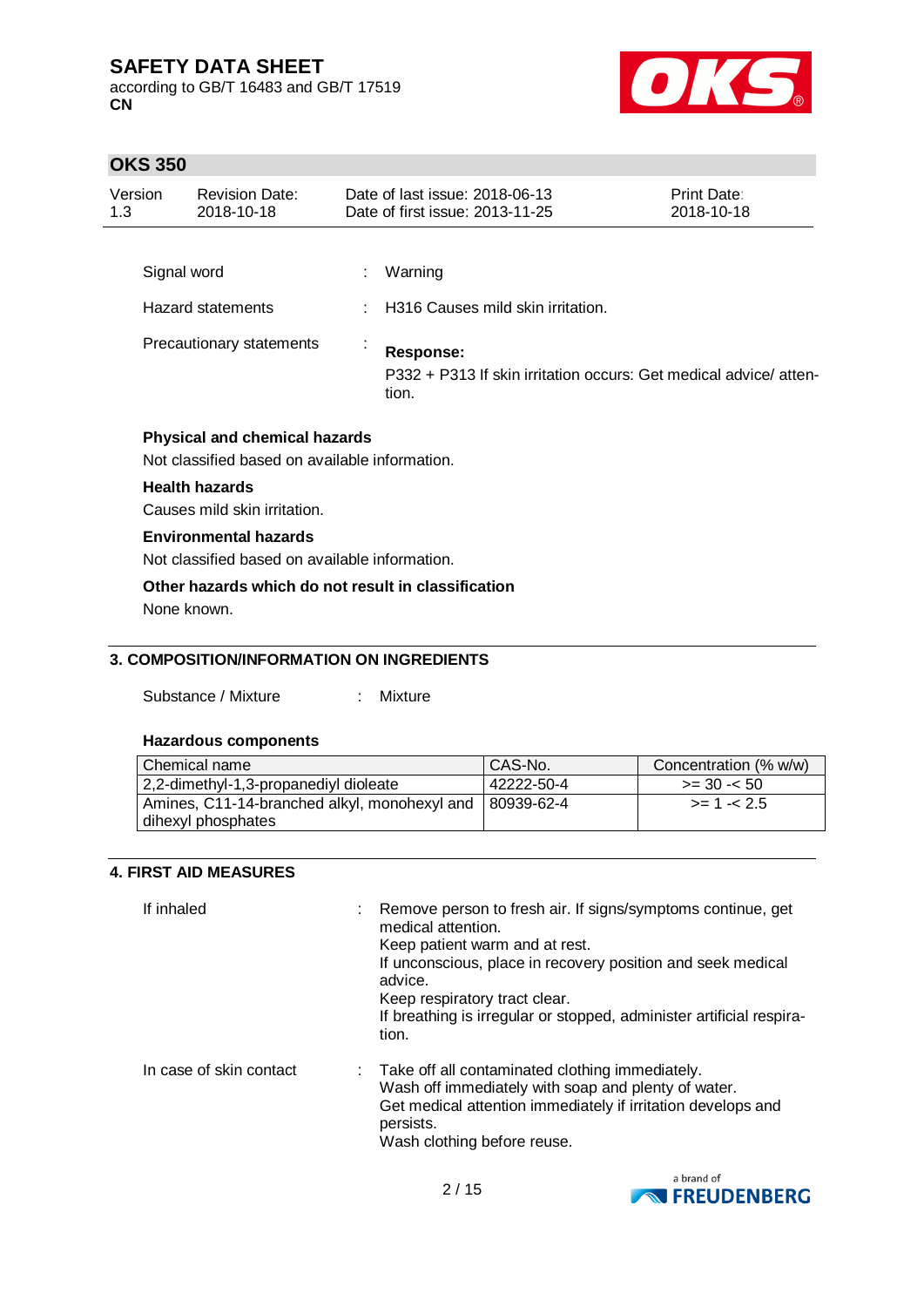according to GB/T 16483 and GB/T 17519 **CN**



## **OKS 350**

| Version<br>1.3 | <b>Revision Date:</b><br>2018-10-18                                                    | Date of last issue: 2018-06-13<br>Date of first issue: 2013-11-25                      | Print Date:<br>2018-10-18 |
|----------------|----------------------------------------------------------------------------------------|----------------------------------------------------------------------------------------|---------------------------|
|                |                                                                                        |                                                                                        |                           |
|                | Signal word                                                                            | Warning                                                                                |                           |
|                | <b>Hazard statements</b>                                                               | H316 Causes mild skin irritation.                                                      |                           |
|                | Precautionary statements                                                               | Response:<br>P332 + P313 If skin irritation occurs: Get medical advice/atten-<br>tion. |                           |
|                | <b>Physical and chemical hazards</b><br>Not classified based on available information. |                                                                                        |                           |
|                | <b>Health hazards</b>                                                                  |                                                                                        |                           |
|                | Causes mild skin irritation.                                                           |                                                                                        |                           |
|                | <b>Environmental hazards</b>                                                           |                                                                                        |                           |
|                | Not classified based on available information.                                         |                                                                                        |                           |
|                | Other hazards which do not result in classification                                    |                                                                                        |                           |

None known.

### **3. COMPOSITION/INFORMATION ON INGREDIENTS**

Substance / Mixture : Mixture

### **Hazardous components**

| Chemical name                                | CAS-No.    | Concentration (% w/w) |
|----------------------------------------------|------------|-----------------------|
| 2,2-dimethyl-1,3-propanediyl dioleate        | 42222-50-4 | $>=$ 30 - $<$ 50      |
| Amines, C11-14-branched alkyl, monohexyl and | 80939-62-4 | $>= 1 - 2.5$          |
| dihexyl phosphates                           |            |                       |

### **4. FIRST AID MEASURES**

| If inhaled              | Remove person to fresh air. If signs/symptoms continue, get<br>medical attention.<br>Keep patient warm and at rest.<br>If unconscious, place in recovery position and seek medical<br>advice.<br>Keep respiratory tract clear.<br>If breathing is irregular or stopped, administer artificial respira-<br>tion. |
|-------------------------|-----------------------------------------------------------------------------------------------------------------------------------------------------------------------------------------------------------------------------------------------------------------------------------------------------------------|
| In case of skin contact | : Take off all contaminated clothing immediately.<br>Wash off immediately with soap and plenty of water.<br>Get medical attention immediately if irritation develops and<br>persists.<br>Wash clothing before reuse.                                                                                            |

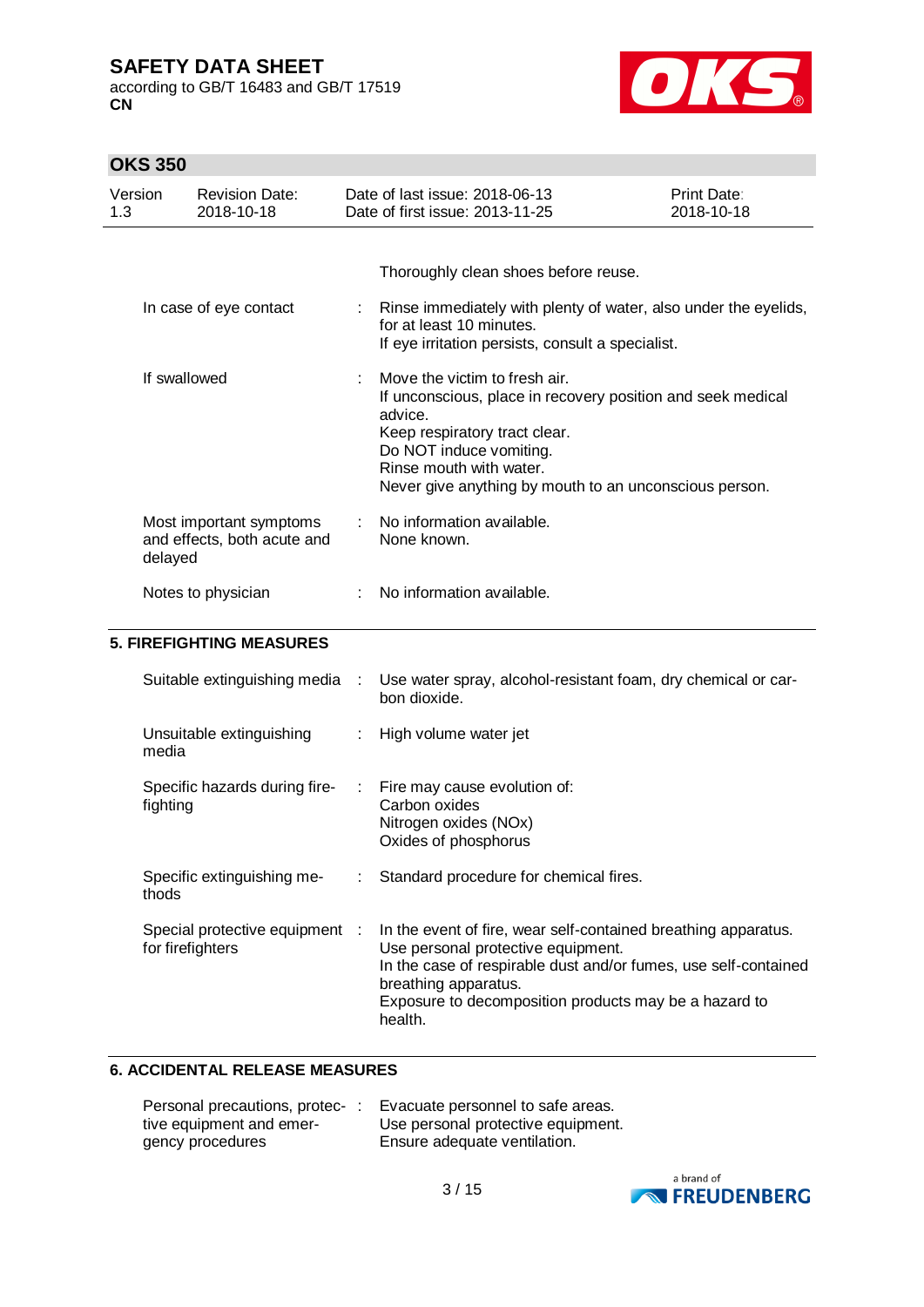according to GB/T 16483 and GB/T 17519 **CN**



## **OKS 350**

| Version<br>1.3 |                  | <b>Revision Date:</b><br>2018-10-18                    |      | Date of last issue: 2018-06-13<br>Date of first issue: 2013-11-25                                                                                                                                                                                                   | <b>Print Date:</b><br>2018-10-18 |
|----------------|------------------|--------------------------------------------------------|------|---------------------------------------------------------------------------------------------------------------------------------------------------------------------------------------------------------------------------------------------------------------------|----------------------------------|
|                |                  | In case of eye contact                                 |      | Thoroughly clean shoes before reuse.<br>Rinse immediately with plenty of water, also under the eyelids,<br>for at least 10 minutes.<br>If eye irritation persists, consult a specialist.                                                                            |                                  |
|                | If swallowed     |                                                        |      | Move the victim to fresh air.<br>If unconscious, place in recovery position and seek medical<br>advice.<br>Keep respiratory tract clear.<br>Do NOT induce vomiting.<br>Rinse mouth with water.<br>Never give anything by mouth to an unconscious person.            |                                  |
|                | delayed          | Most important symptoms<br>and effects, both acute and |      | No information available.<br>None known.                                                                                                                                                                                                                            |                                  |
|                |                  | Notes to physician                                     |      | No information available.                                                                                                                                                                                                                                           |                                  |
|                |                  | <b>5. FIREFIGHTING MEASURES</b>                        |      |                                                                                                                                                                                                                                                                     |                                  |
|                |                  | Suitable extinguishing media                           | - 11 | Use water spray, alcohol-resistant foam, dry chemical or car-<br>bon dioxide.                                                                                                                                                                                       |                                  |
|                | media            | Unsuitable extinguishing                               |      | High volume water jet                                                                                                                                                                                                                                               |                                  |
|                | fighting         | Specific hazards during fire-                          | ÷.   | Fire may cause evolution of:<br>Carbon oxides<br>Nitrogen oxides (NOx)<br>Oxides of phosphorus                                                                                                                                                                      |                                  |
|                | thods            | Specific extinguishing me-                             |      | Standard procedure for chemical fires.                                                                                                                                                                                                                              |                                  |
|                | for firefighters | Special protective equipment :                         |      | In the event of fire, wear self-contained breathing apparatus.<br>Use personal protective equipment.<br>In the case of respirable dust and/or fumes, use self-contained<br>breathing apparatus.<br>Exposure to decomposition products may be a hazard to<br>health. |                                  |

### **6. ACCIDENTAL RELEASE MEASURES**

| Personal precautions, protec-: | Evacuate personnel to safe areas.  |
|--------------------------------|------------------------------------|
| tive equipment and emer-       | Use personal protective equipment. |
| gency procedures               | Ensure adequate ventilation.       |

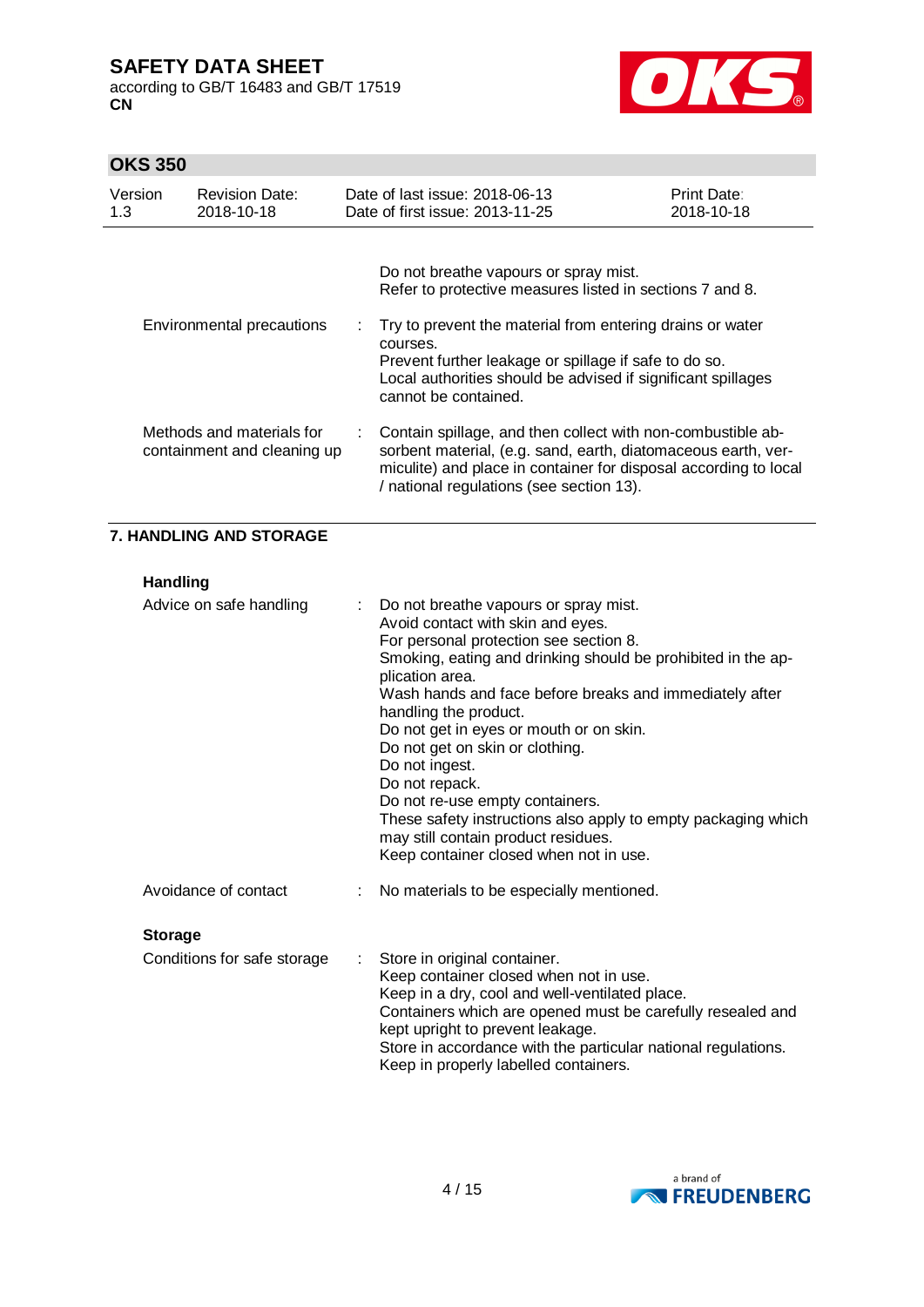according to GB/T 16483 and GB/T 17519 **CN**



÷.

## **OKS 350**

| Version<br>1.3 | <b>Revision Date:</b><br>2018-10-18                      | Date of last issue: 2018-06-13<br>Date of first issue: 2013-11-25                                                                                                                                                                            | Print Date:<br>2018-10-18 |
|----------------|----------------------------------------------------------|----------------------------------------------------------------------------------------------------------------------------------------------------------------------------------------------------------------------------------------------|---------------------------|
|                |                                                          | Do not breathe vapours or spray mist.<br>Refer to protective measures listed in sections 7 and 8.                                                                                                                                            |                           |
|                | Environmental precautions                                | : Try to prevent the material from entering drains or water<br>courses.<br>Prevent further leakage or spillage if safe to do so.<br>Local authorities should be advised if significant spillages<br>cannot be contained.                     |                           |
|                | Methods and materials for<br>containment and cleaning up | Contain spillage, and then collect with non-combustible ab-<br>sorbent material, (e.g. sand, earth, diatomaceous earth, ver-<br>miculite) and place in container for disposal according to local<br>/ national regulations (see section 13). |                           |

### **7. HANDLING AND STORAGE**

**Handling**

| Advice on safe handling     |   | Do not breathe vapours or spray mist.<br>Avoid contact with skin and eyes.<br>For personal protection see section 8.<br>Smoking, eating and drinking should be prohibited in the ap-<br>plication area.<br>Wash hands and face before breaks and immediately after<br>handling the product.<br>Do not get in eyes or mouth or on skin.<br>Do not get on skin or clothing.<br>Do not ingest.<br>Do not repack.<br>Do not re-use empty containers.<br>These safety instructions also apply to empty packaging which<br>may still contain product residues.<br>Keep container closed when not in use. |
|-----------------------------|---|----------------------------------------------------------------------------------------------------------------------------------------------------------------------------------------------------------------------------------------------------------------------------------------------------------------------------------------------------------------------------------------------------------------------------------------------------------------------------------------------------------------------------------------------------------------------------------------------------|
| Avoidance of contact        |   | No materials to be especially mentioned.                                                                                                                                                                                                                                                                                                                                                                                                                                                                                                                                                           |
| <b>Storage</b>              |   |                                                                                                                                                                                                                                                                                                                                                                                                                                                                                                                                                                                                    |
| Conditions for safe storage | ÷ | Store in original container.<br>Keep container closed when not in use.<br>Keep in a dry, cool and well-ventilated place.<br>Containers which are opened must be carefully resealed and<br>kept upright to prevent leakage.<br>Store in accordance with the particular national regulations.<br>Keep in properly labelled containers.                                                                                                                                                                                                                                                               |

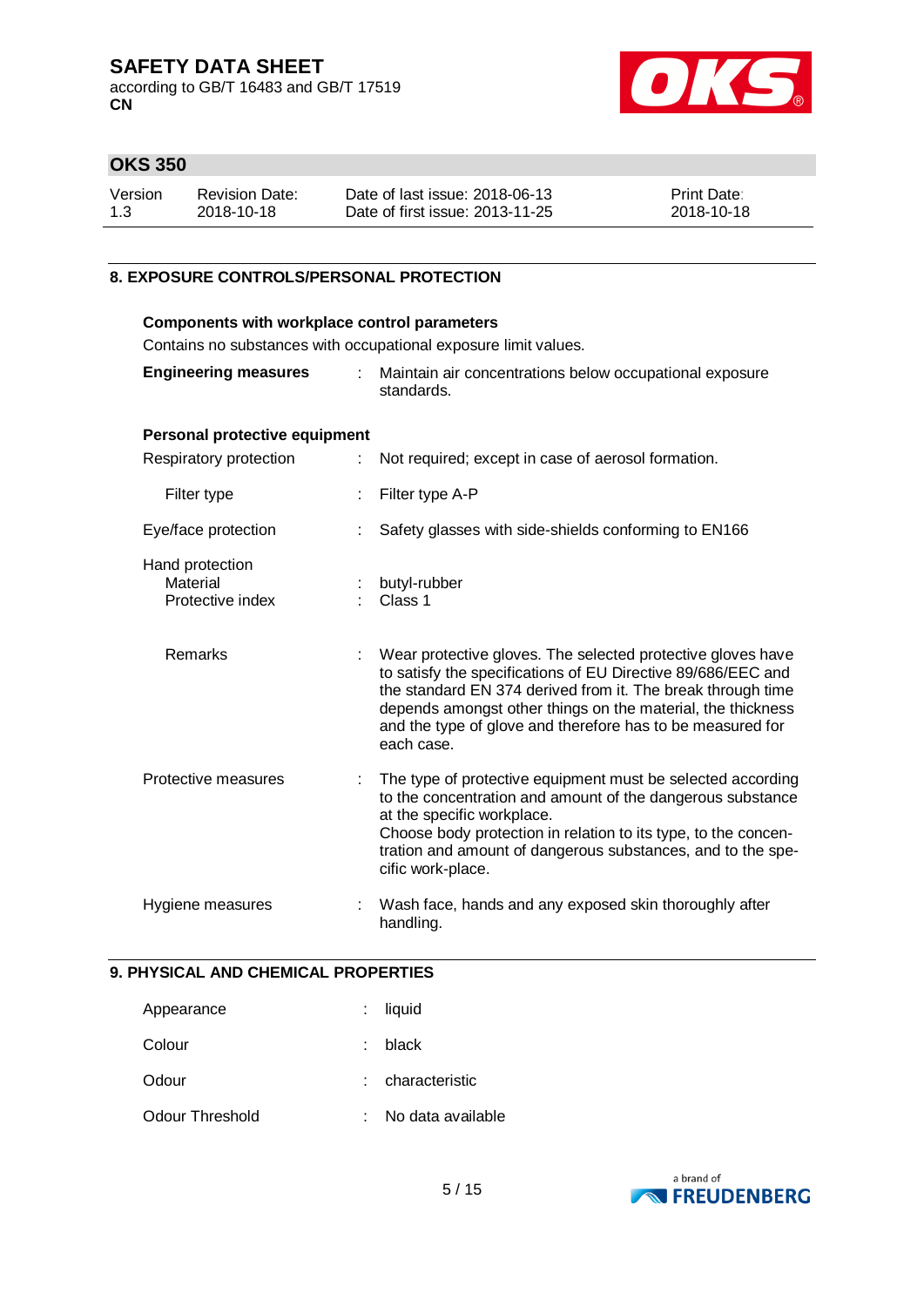according to GB/T 16483 and GB/T 17519 **CN**



## **OKS 350**

| Version | <b>Revision Date:</b> | Date of last issue: 2018-06-13  | <b>Print Date:</b> |
|---------|-----------------------|---------------------------------|--------------------|
| 1.3     | 2018-10-18            | Date of first issue: 2013-11-25 | 2018-10-18         |

### **8. EXPOSURE CONTROLS/PERSONAL PROTECTION**

| <b>Components with workplace control parameters</b> |    |                                                                                                                                                                                                                                                                                                                                       |  |  |
|-----------------------------------------------------|----|---------------------------------------------------------------------------------------------------------------------------------------------------------------------------------------------------------------------------------------------------------------------------------------------------------------------------------------|--|--|
|                                                     |    | Contains no substances with occupational exposure limit values.                                                                                                                                                                                                                                                                       |  |  |
| <b>Engineering measures</b>                         | ÷. | Maintain air concentrations below occupational exposure<br>standards.                                                                                                                                                                                                                                                                 |  |  |
| Personal protective equipment                       |    |                                                                                                                                                                                                                                                                                                                                       |  |  |
| Respiratory protection                              | ÷  | Not required; except in case of aerosol formation.                                                                                                                                                                                                                                                                                    |  |  |
| Filter type                                         |    | Filter type A-P                                                                                                                                                                                                                                                                                                                       |  |  |
| Eye/face protection                                 |    | Safety glasses with side-shields conforming to EN166                                                                                                                                                                                                                                                                                  |  |  |
| Hand protection<br>Material<br>Protective index     |    | butyl-rubber<br>Class 1                                                                                                                                                                                                                                                                                                               |  |  |
| <b>Remarks</b>                                      |    | Wear protective gloves. The selected protective gloves have<br>to satisfy the specifications of EU Directive 89/686/EEC and<br>the standard EN 374 derived from it. The break through time<br>depends amongst other things on the material, the thickness<br>and the type of glove and therefore has to be measured for<br>each case. |  |  |
| Protective measures                                 |    | The type of protective equipment must be selected according<br>to the concentration and amount of the dangerous substance<br>at the specific workplace.<br>Choose body protection in relation to its type, to the concen-<br>tration and amount of dangerous substances, and to the spe-<br>cific work-place.                         |  |  |
| Hygiene measures                                    |    | Wash face, hands and any exposed skin thoroughly after<br>handling.                                                                                                                                                                                                                                                                   |  |  |

#### **9. PHYSICAL AND CHEMICAL PROPERTIES**

| Appearance      | $:$ liquid        |
|-----------------|-------------------|
| Colour          | $:$ black         |
| Odour           | : characteristic  |
| Odour Threshold | No data available |

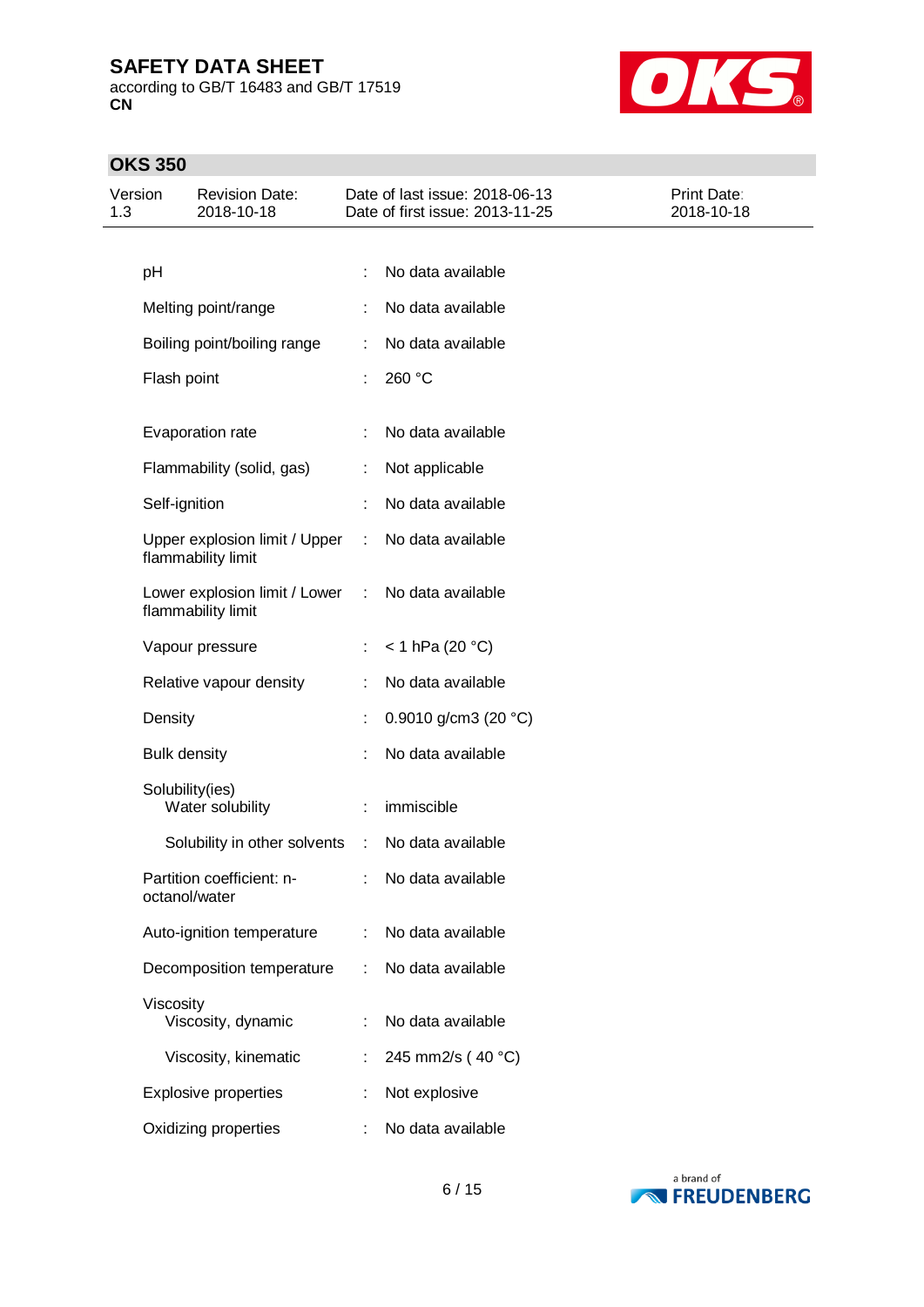according to GB/T 16483 and GB/T 17519 **CN**



## **OKS 350**

| Version<br>1.3 |                     | <b>Revision Date:</b><br>2018-10-18                   |   | Date of last issue: 2018-06-13<br>Date of first issue: 2013-11-25 | Print Date:<br>2018-10-18 |
|----------------|---------------------|-------------------------------------------------------|---|-------------------------------------------------------------------|---------------------------|
|                |                     |                                                       |   |                                                                   |                           |
|                | pH                  |                                                       |   | No data available                                                 |                           |
|                |                     | Melting point/range                                   |   | No data available                                                 |                           |
|                |                     | Boiling point/boiling range                           |   | No data available                                                 |                           |
|                | Flash point         |                                                       |   | 260 °C                                                            |                           |
|                |                     | Evaporation rate                                      | ÷ | No data available                                                 |                           |
|                |                     | Flammability (solid, gas)                             |   | Not applicable                                                    |                           |
|                | Self-ignition       |                                                       |   | No data available                                                 |                           |
|                |                     | Upper explosion limit / Upper<br>flammability limit   | ÷ | No data available                                                 |                           |
|                |                     | Lower explosion limit / Lower :<br>flammability limit |   | No data available                                                 |                           |
|                |                     | Vapour pressure                                       | ÷ | $< 1$ hPa (20 °C)                                                 |                           |
|                |                     | Relative vapour density                               |   | No data available                                                 |                           |
|                | Density             |                                                       |   | 0.9010 g/cm3 (20 $°C$ )                                           |                           |
|                | <b>Bulk density</b> |                                                       |   | No data available                                                 |                           |
|                | Solubility(ies)     | Water solubility                                      | ÷ | immiscible                                                        |                           |
|                |                     | Solubility in other solvents                          | ÷ | No data available                                                 |                           |
|                | octanol/water       | Partition coefficient: n-                             |   | No data available                                                 |                           |
|                |                     | Auto-ignition temperature                             |   | No data available                                                 |                           |
|                |                     | Decomposition temperature                             | ÷ | No data available                                                 |                           |
|                | Viscosity           | Viscosity, dynamic                                    | ÷ | No data available                                                 |                           |
|                |                     | Viscosity, kinematic                                  | t | 245 mm2/s (40 °C)                                                 |                           |
|                |                     | <b>Explosive properties</b>                           |   | Not explosive                                                     |                           |
|                |                     | Oxidizing properties                                  |   | No data available                                                 |                           |

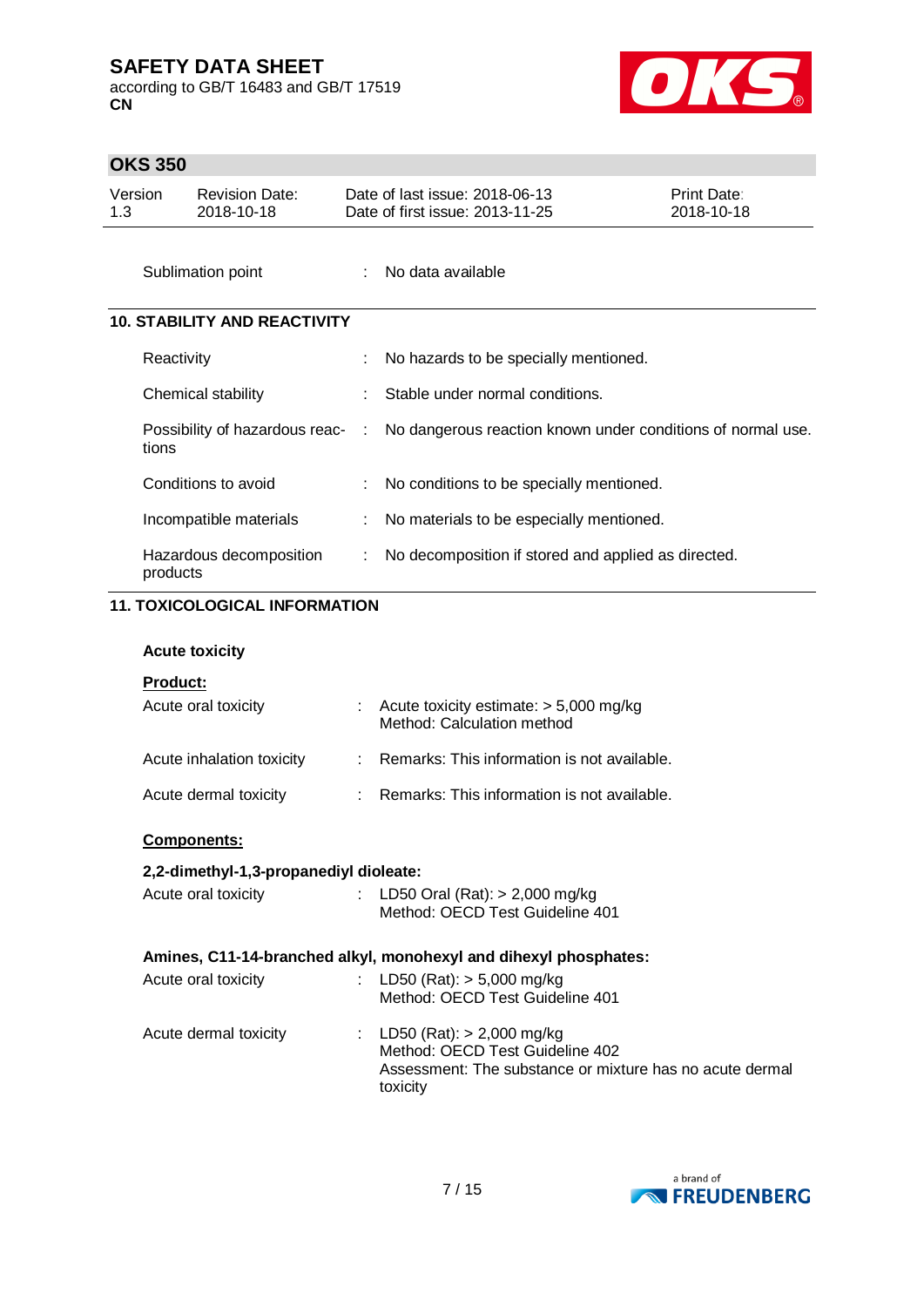according to GB/T 16483 and GB/T 17519 **CN**



## **OKS 350**

|     | טטט טווט                               |                                     |   |                                                                        |                           |  |  |  |
|-----|----------------------------------------|-------------------------------------|---|------------------------------------------------------------------------|---------------------------|--|--|--|
| 1.3 | Version                                | <b>Revision Date:</b><br>2018-10-18 |   | Date of last issue: 2018-06-13<br>Date of first issue: 2013-11-25      | Print Date:<br>2018-10-18 |  |  |  |
|     |                                        | Sublimation point                   |   | No data available                                                      |                           |  |  |  |
|     | <b>10. STABILITY AND REACTIVITY</b>    |                                     |   |                                                                        |                           |  |  |  |
|     | Reactivity                             |                                     |   | No hazards to be specially mentioned.                                  |                           |  |  |  |
|     |                                        | Chemical stability                  |   | Stable under normal conditions.                                        |                           |  |  |  |
|     | tions                                  | Possibility of hazardous reac-      | ÷ | No dangerous reaction known under conditions of normal use.            |                           |  |  |  |
|     |                                        | Conditions to avoid                 |   | No conditions to be specially mentioned.                               |                           |  |  |  |
|     |                                        | Incompatible materials              |   | No materials to be especially mentioned.                               |                           |  |  |  |
|     | products                               | Hazardous decomposition             | ÷ | No decomposition if stored and applied as directed.                    |                           |  |  |  |
|     | <b>11. TOXICOLOGICAL INFORMATION</b>   |                                     |   |                                                                        |                           |  |  |  |
|     |                                        | <b>Acute toxicity</b>               |   |                                                                        |                           |  |  |  |
|     | Product:                               |                                     |   |                                                                        |                           |  |  |  |
|     |                                        | Acute oral toxicity                 |   | Acute toxicity estimate: $> 5,000$ mg/kg<br>Method: Calculation method |                           |  |  |  |
|     |                                        | Acute inhalation toxicity           |   | Remarks: This information is not available.                            |                           |  |  |  |
|     |                                        | Acute dermal toxicity               |   | Remarks: This information is not available.                            |                           |  |  |  |
|     |                                        | <u>Components:</u>                  |   |                                                                        |                           |  |  |  |
|     | 2,2-dimethyl-1,3-propanediyl dioleate: |                                     |   |                                                                        |                           |  |  |  |
|     |                                        | Acute oral toxicity                 |   | LD50 Oral (Rat): > 2,000 mg/kg<br>Method: OECD Test Guideline 401      |                           |  |  |  |
|     |                                        |                                     |   | Amines, C11-14-branched alkyl, monohexyl and dihexyl phosphates:       |                           |  |  |  |
|     |                                        | Acute oral toxicity                 |   | LD50 (Rat): $> 5,000$ mg/kg<br>Method: OECD Test Guideline 401         |                           |  |  |  |

Acute dermal toxicity : LD50 (Rat): > 2,000 mg/kg Method: OECD Test Guideline 402 Assessment: The substance or mixture has no acute dermal toxicity

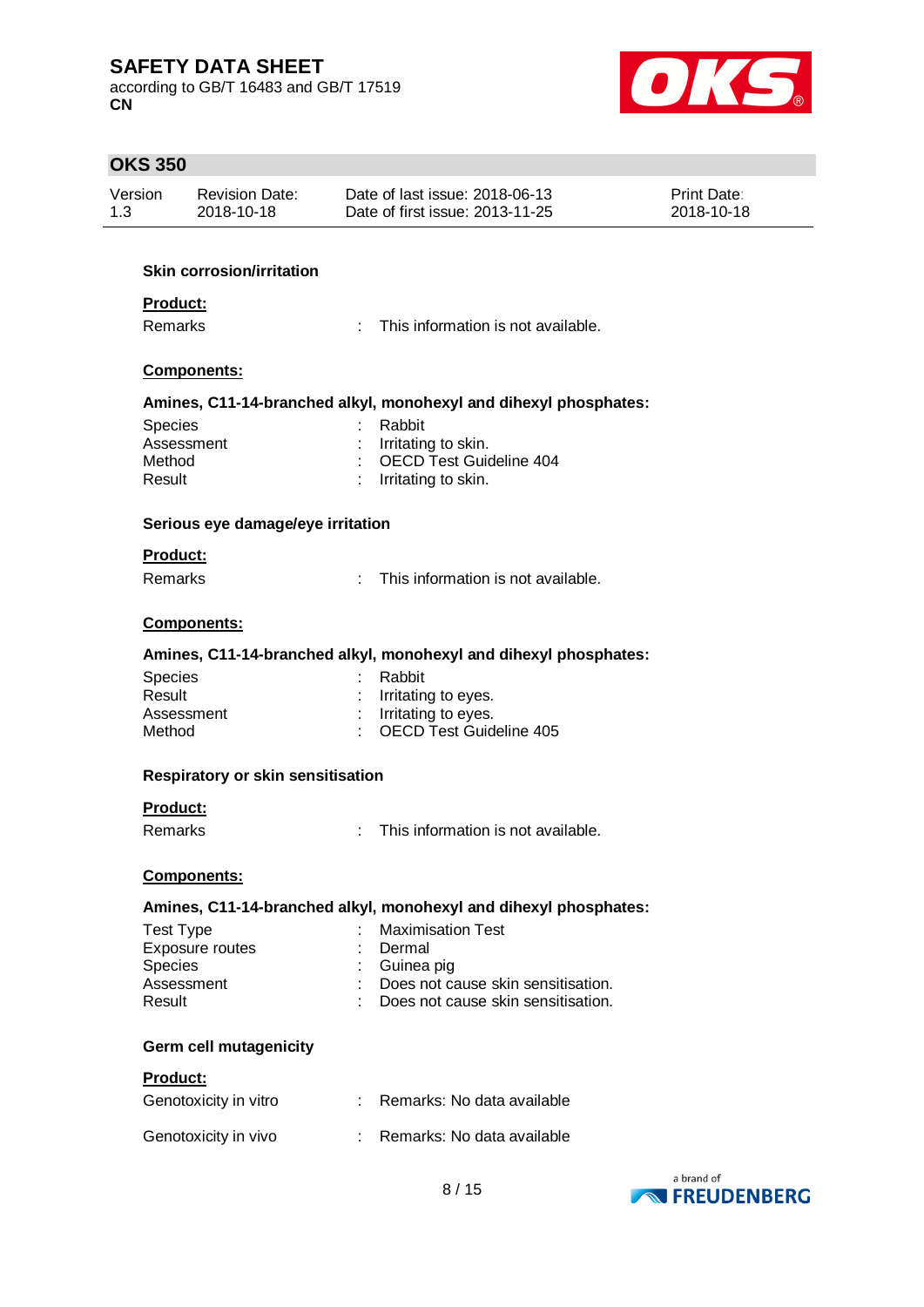according to GB/T 16483 and GB/T 17519 **CN**



| <b>OKS 350</b> |                                          |                                                                  |                                 |
|----------------|------------------------------------------|------------------------------------------------------------------|---------------------------------|
| Version        | <b>Revision Date:</b>                    | Date of last issue: 2018-06-13                                   | Print Date:                     |
| 1.3            | 2018-10-18                               | Date of first issue: 2013-11-25                                  | 2018-10-18                      |
|                |                                          |                                                                  |                                 |
|                | <b>Skin corrosion/irritation</b>         |                                                                  |                                 |
|                | Product:                                 |                                                                  |                                 |
|                | Remarks                                  | ÷<br>This information is not available.                          |                                 |
|                | Components:                              |                                                                  |                                 |
|                |                                          | Amines, C11-14-branched alkyl, monohexyl and dihexyl phosphates: |                                 |
| Species        |                                          | Rabbit                                                           |                                 |
| Method         | Assessment                               | Irritating to skin.<br>OECD Test Guideline 404                   |                                 |
| Result         |                                          | Irritating to skin.                                              |                                 |
|                |                                          |                                                                  |                                 |
|                | Serious eye damage/eye irritation        |                                                                  |                                 |
|                | Product:                                 |                                                                  |                                 |
|                | <b>Remarks</b>                           | This information is not available.<br>÷                          |                                 |
|                | Components:                              |                                                                  |                                 |
|                |                                          | Amines, C11-14-branched alkyl, monohexyl and dihexyl phosphates: |                                 |
| <b>Species</b> |                                          | Rabbit                                                           |                                 |
| Result         |                                          | Irritating to eyes.                                              |                                 |
|                | Assessment                               | Irritating to eyes.<br><b>OECD Test Guideline 405</b>            |                                 |
| Method         |                                          |                                                                  |                                 |
|                | <b>Respiratory or skin sensitisation</b> |                                                                  |                                 |
|                | Product:                                 |                                                                  |                                 |
|                | <b>Remarks</b>                           | This information is not available.<br>٠                          |                                 |
|                | Components:                              |                                                                  |                                 |
|                |                                          | Amines, C11-14-branched alkyl, monohexyl and dihexyl phosphates: |                                 |
|                | <b>Test Type</b>                         | <b>Maximisation Test</b>                                         |                                 |
|                | Exposure routes                          | Dermal                                                           |                                 |
| Species        | Assessment                               | Guinea pig<br>Does not cause skin sensitisation.                 |                                 |
| Result         |                                          | Does not cause skin sensitisation.                               |                                 |
|                | Germ cell mutagenicity                   |                                                                  |                                 |
|                | Product:                                 |                                                                  |                                 |
|                | Genotoxicity in vitro                    | Remarks: No data available                                       |                                 |
|                | Genotoxicity in vivo                     | Remarks: No data available<br>÷                                  |                                 |
|                |                                          | 8/15                                                             | a brand of<br><b>NEUDENBERG</b> |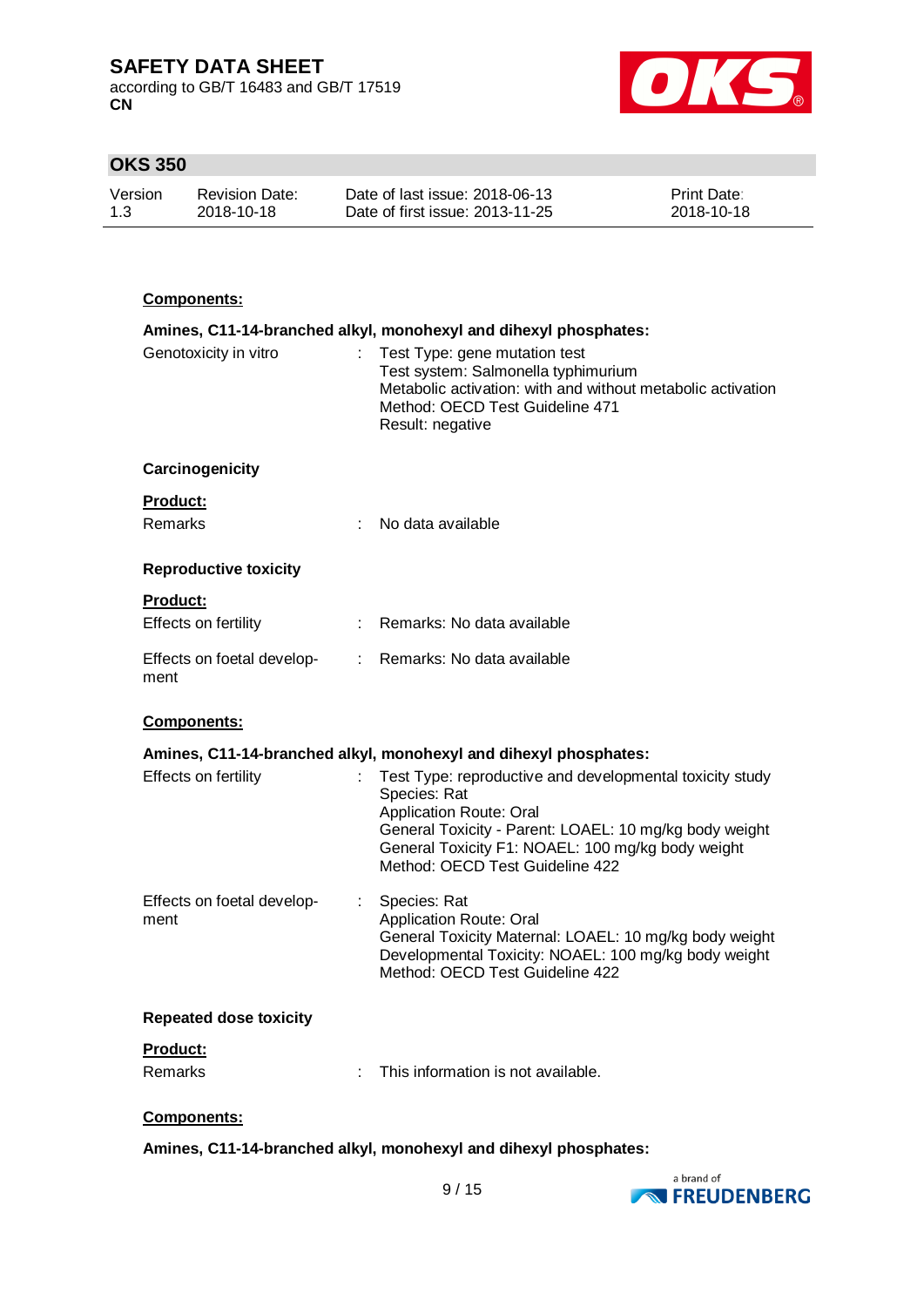according to GB/T 16483 and GB/T 17519 **CN**



## **OKS 350**

| Version | <b>Revision Date:</b> | Date of last issue: 2018-06-13  | <b>Print Date:</b> |
|---------|-----------------------|---------------------------------|--------------------|
| 1.3     | 2018-10-18            | Date of first issue: 2013-11-25 | 2018-10-18         |

### **Components:**

|                                                           | Amines, C11-14-branched alkyl, monohexyl and dihexyl phosphates:                                                                                                                                                                                      |
|-----------------------------------------------------------|-------------------------------------------------------------------------------------------------------------------------------------------------------------------------------------------------------------------------------------------------------|
| Genotoxicity in vitro                                     | Test Type: gene mutation test<br>Test system: Salmonella typhimurium<br>Metabolic activation: with and without metabolic activation<br>Method: OECD Test Guideline 471<br>Result: negative                                                            |
| Carcinogenicity                                           |                                                                                                                                                                                                                                                       |
| Product:<br>Remarks                                       | No data available                                                                                                                                                                                                                                     |
| <b>Reproductive toxicity</b>                              |                                                                                                                                                                                                                                                       |
| Product:<br>Effects on fertility<br>$\mathbb{Z}^{\times}$ | Remarks: No data available                                                                                                                                                                                                                            |
| Effects on foetal develop-<br>ment                        | : Remarks: No data available                                                                                                                                                                                                                          |
| Components:                                               |                                                                                                                                                                                                                                                       |
|                                                           | Amines, C11-14-branched alkyl, monohexyl and dihexyl phosphates:                                                                                                                                                                                      |
| Effects on fertility                                      | Test Type: reproductive and developmental toxicity study<br>Species: Rat<br>Application Route: Oral<br>General Toxicity - Parent: LOAEL: 10 mg/kg body weight<br>General Toxicity F1: NOAEL: 100 mg/kg body weight<br>Method: OECD Test Guideline 422 |
| Effects on foetal develop-<br>ment                        | Species: Rat<br>Application Route: Oral<br>General Toxicity Maternal: LOAEL: 10 mg/kg body weight<br>Developmental Toxicity: NOAEL: 100 mg/kg body weight<br>Method: OECD Test Guideline 422                                                          |
| <b>Repeated dose toxicity</b>                             |                                                                                                                                                                                                                                                       |
| <b>Product:</b>                                           |                                                                                                                                                                                                                                                       |
| Remarks<br>÷                                              | This information is not available.                                                                                                                                                                                                                    |
| <u>Components:</u>                                        |                                                                                                                                                                                                                                                       |

### **Amines, C11-14-branched alkyl, monohexyl and dihexyl phosphates:**

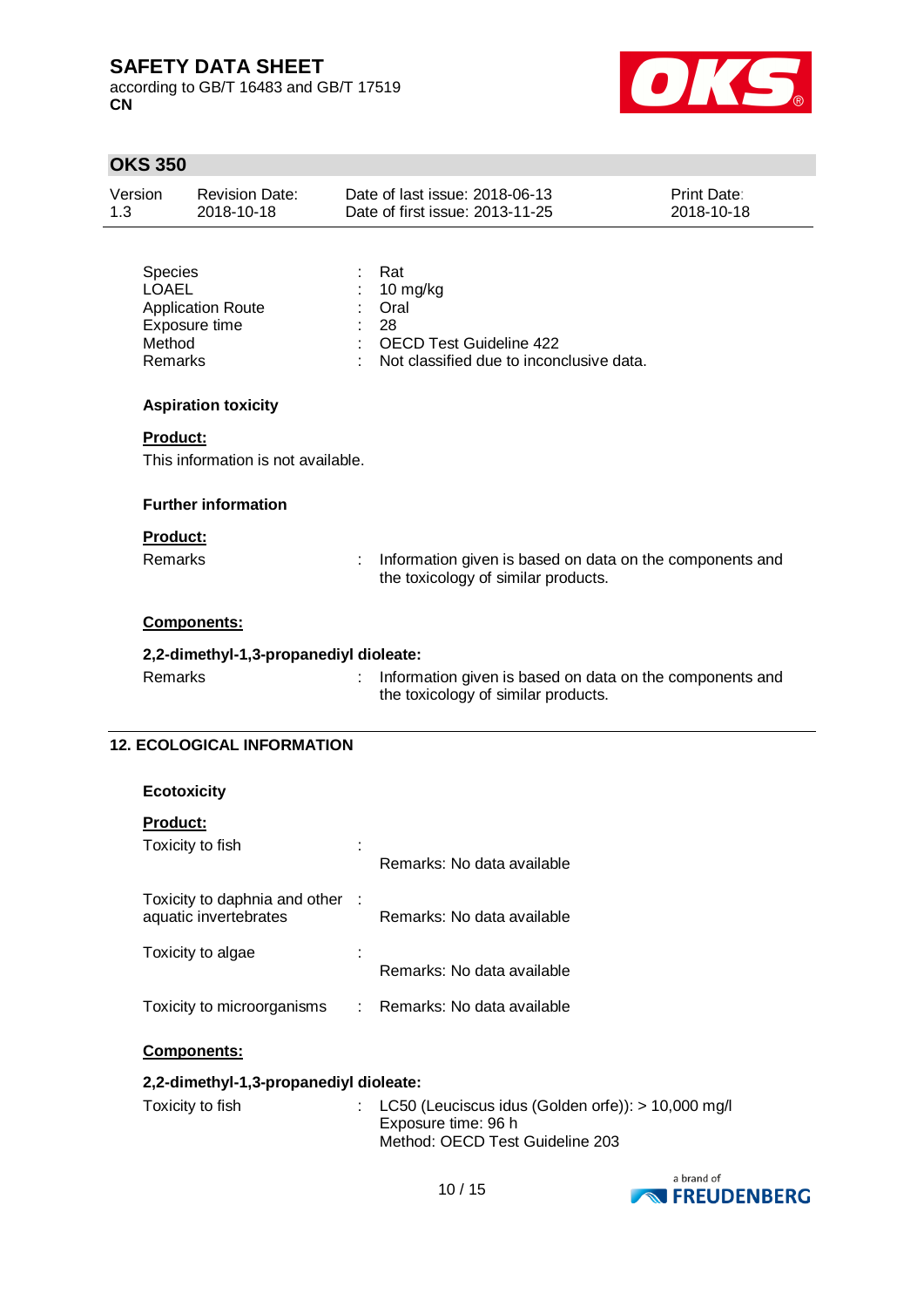according to GB/T 16483 and GB/T 17519 **CN**



÷.

## **OKS 350**

| Version<br>1.3                                      | <b>Revision Date:</b><br>2018-10-18       |   | Date of last issue: 2018-06-13<br>Date of first issue: 2013-11-25                                           | <b>Print Date:</b><br>2018-10-18 |
|-----------------------------------------------------|-------------------------------------------|---|-------------------------------------------------------------------------------------------------------------|----------------------------------|
| <b>Species</b><br><b>LOAEL</b><br>Method<br>Remarks | <b>Application Route</b><br>Exposure time |   | Rat<br>10 mg/kg<br>Oral<br>28<br><b>OECD Test Guideline 422</b><br>Not classified due to inconclusive data. |                                  |
|                                                     | <b>Aspiration toxicity</b>                |   |                                                                                                             |                                  |
| <b>Product:</b>                                     | This information is not available.        |   |                                                                                                             |                                  |
|                                                     | <b>Further information</b>                |   |                                                                                                             |                                  |
| <b>Product:</b>                                     |                                           |   |                                                                                                             |                                  |
| Remarks                                             |                                           | ÷ | Information given is based on data on the components and<br>the toxicology of similar products.             |                                  |
|                                                     | Components:                               |   |                                                                                                             |                                  |
|                                                     | 2,2-dimethyl-1,3-propanediyl dioleate:    |   |                                                                                                             |                                  |
| <b>Remarks</b>                                      |                                           |   | Information given is based on data on the components and<br>the toxicology of similar products.             |                                  |
|                                                     | <b>12. ECOLOGICAL INFORMATION</b>         |   |                                                                                                             |                                  |

| <b>Ecotoxicity</b> |  |
|--------------------|--|
|                    |  |

| <b>Product:</b>                                        |                            |
|--------------------------------------------------------|----------------------------|
| Toxicity to fish                                       | Remarks: No data available |
| Toxicity to daphnia and other<br>aquatic invertebrates | Remarks: No data available |
| Toxicity to algae                                      | Remarks: No data available |
| Toxicity to microorganisms                             | Remarks: No data available |

### **Components:**

### **2,2-dimethyl-1,3-propanediyl dioleate:**

| Toxicity to fish | : LC50 (Leuciscus idus (Golden orfe)): $> 10,000$ mg/l |
|------------------|--------------------------------------------------------|
|                  | Exposure time: 96 h                                    |
|                  | Method: OECD Test Guideline 203                        |

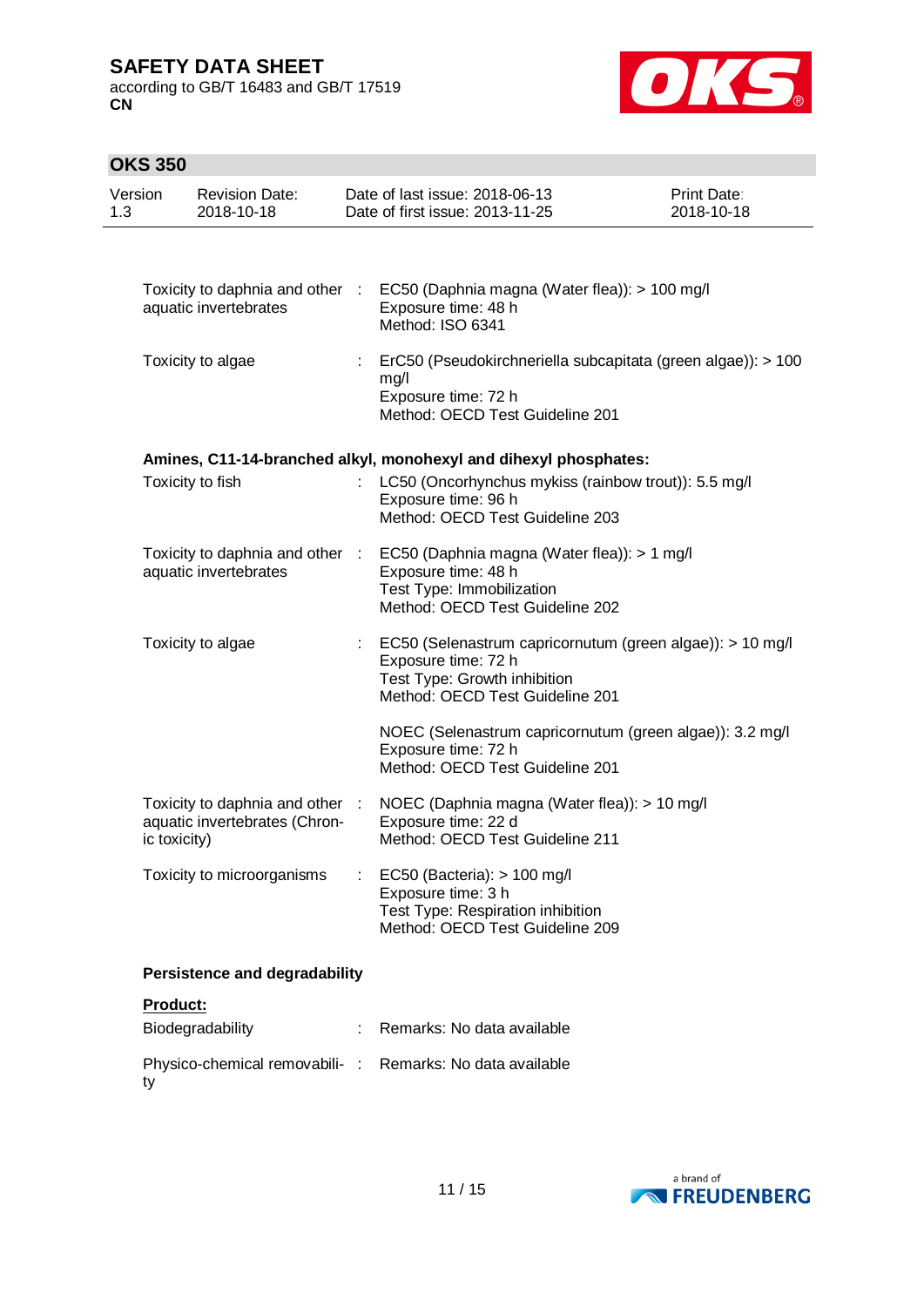according to GB/T 16483 and GB/T 17519 **CN**



## **OKS 350**

ty

| 1.3 | Version      | <b>Revision Date:</b><br>2018-10-18                              |    | Date of last issue: 2018-06-13<br>Date of first issue: 2013-11-25                                                                                   | Print Date:<br>2018-10-18 |
|-----|--------------|------------------------------------------------------------------|----|-----------------------------------------------------------------------------------------------------------------------------------------------------|---------------------------|
|     |              |                                                                  |    |                                                                                                                                                     |                           |
|     |              | aquatic invertebrates                                            |    | Toxicity to daphnia and other : EC50 (Daphnia magna (Water flea)): > 100 mg/l<br>Exposure time: 48 h<br>Method: ISO 6341                            |                           |
|     |              | Toxicity to algae                                                | ÷. | ErC50 (Pseudokirchneriella subcapitata (green algae)): > 100<br>mg/l<br>Exposure time: 72 h<br>Method: OECD Test Guideline 201                      |                           |
|     |              |                                                                  |    | Amines, C11-14-branched alkyl, monohexyl and dihexyl phosphates:                                                                                    |                           |
|     |              | Toxicity to fish                                                 |    | LC50 (Oncorhynchus mykiss (rainbow trout)): 5.5 mg/l<br>Exposure time: 96 h<br>Method: OECD Test Guideline 203                                      |                           |
|     |              | Toxicity to daphnia and other :<br>aquatic invertebrates         |    | EC50 (Daphnia magna (Water flea)): > 1 mg/l<br>Exposure time: 48 h<br>Test Type: Immobilization<br>Method: OECD Test Guideline 202                  |                           |
|     |              | Toxicity to algae                                                | ÷. | EC50 (Selenastrum capricornutum (green algae)): > 10 mg/l<br>Exposure time: 72 h<br>Test Type: Growth inhibition<br>Method: OECD Test Guideline 201 |                           |
|     |              |                                                                  |    | NOEC (Selenastrum capricornutum (green algae)): 3.2 mg/l<br>Exposure time: 72 h<br>Method: OECD Test Guideline 201                                  |                           |
|     | ic toxicity) | Toxicity to daphnia and other :<br>aquatic invertebrates (Chron- |    | NOEC (Daphnia magna (Water flea)): > 10 mg/l<br>Exposure time: 22 d<br>Method: OECD Test Guideline 211                                              |                           |
|     |              | Toxicity to microorganisms                                       |    | EC50 (Bacteria): > 100 mg/l<br>Exposure time: 3 h<br>Test Type: Respiration inhibition<br>Method: OECD Test Guideline 209                           |                           |
|     |              | <b>Persistence and degradability</b>                             |    |                                                                                                                                                     |                           |
|     | Product:     |                                                                  |    |                                                                                                                                                     |                           |
|     |              | Biodegradability                                                 |    | Remarks: No data available                                                                                                                          |                           |
|     |              | Physico-chemical removabili- :                                   |    | Remarks: No data available                                                                                                                          |                           |

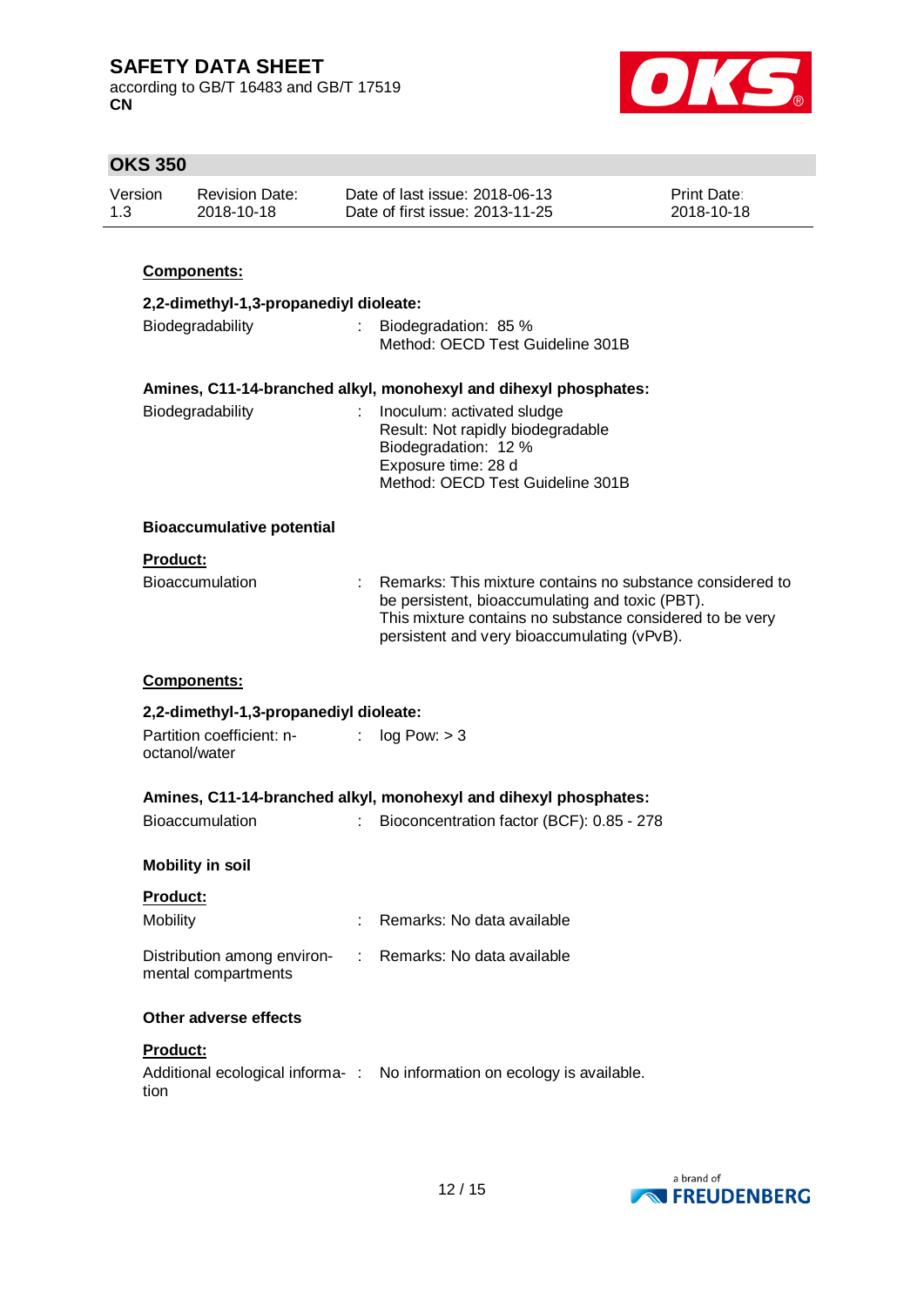according to GB/T 16483 and GB/T 17519 **CN**



| <b>OKS 350</b>                                                   |                                                    |                           |                                                                                                                                                                                                                         |                           |
|------------------------------------------------------------------|----------------------------------------------------|---------------------------|-------------------------------------------------------------------------------------------------------------------------------------------------------------------------------------------------------------------------|---------------------------|
| Version<br>1.3                                                   | <b>Revision Date:</b><br>2018-10-18                |                           | Date of last issue: 2018-06-13<br>Date of first issue: 2013-11-25                                                                                                                                                       | Print Date:<br>2018-10-18 |
|                                                                  | Components:                                        |                           |                                                                                                                                                                                                                         |                           |
|                                                                  | 2,2-dimethyl-1,3-propanediyl dioleate:             |                           |                                                                                                                                                                                                                         |                           |
| Biodegradability                                                 |                                                    | ÷.                        | Biodegradation: 85 %<br>Method: OECD Test Guideline 301B                                                                                                                                                                |                           |
|                                                                  |                                                    |                           | Amines, C11-14-branched alkyl, monohexyl and dihexyl phosphates:                                                                                                                                                        |                           |
|                                                                  | Biodegradability                                   |                           | Inoculum: activated sludge<br>Result: Not rapidly biodegradable<br>Biodegradation: 12 %<br>Exposure time: 28 d<br>Method: OECD Test Guideline 301B                                                                      |                           |
|                                                                  | <b>Bioaccumulative potential</b>                   |                           |                                                                                                                                                                                                                         |                           |
| Product:                                                         |                                                    |                           |                                                                                                                                                                                                                         |                           |
|                                                                  | <b>Bioaccumulation</b>                             |                           | Remarks: This mixture contains no substance considered to<br>be persistent, bioaccumulating and toxic (PBT).<br>This mixture contains no substance considered to be very<br>persistent and very bioaccumulating (vPvB). |                           |
|                                                                  | Components:                                        |                           |                                                                                                                                                                                                                         |                           |
|                                                                  | 2,2-dimethyl-1,3-propanediyl dioleate:             |                           |                                                                                                                                                                                                                         |                           |
|                                                                  | Partition coefficient: n-<br>octanol/water         | $\mathbb{Z}^{\mathbb{Z}}$ | log Pow: > 3                                                                                                                                                                                                            |                           |
| Amines, C11-14-branched alkyl, monohexyl and dihexyl phosphates: |                                                    |                           |                                                                                                                                                                                                                         |                           |
|                                                                  | <b>Bioaccumulation</b>                             |                           | Bioconcentration factor (BCF): 0.85 - 278                                                                                                                                                                               |                           |
|                                                                  | <b>Mobility in soil</b>                            |                           |                                                                                                                                                                                                                         |                           |
| Product:                                                         |                                                    |                           |                                                                                                                                                                                                                         |                           |
| Mobility                                                         |                                                    |                           | Remarks: No data available                                                                                                                                                                                              |                           |
|                                                                  | Distribution among environ-<br>mental compartments | ÷.                        | Remarks: No data available                                                                                                                                                                                              |                           |
|                                                                  | Other adverse effects                              |                           |                                                                                                                                                                                                                         |                           |
| Product:                                                         |                                                    |                           |                                                                                                                                                                                                                         |                           |
| tion                                                             |                                                    |                           | Additional ecological informa-: No information on ecology is available.                                                                                                                                                 |                           |
|                                                                  |                                                    |                           |                                                                                                                                                                                                                         |                           |

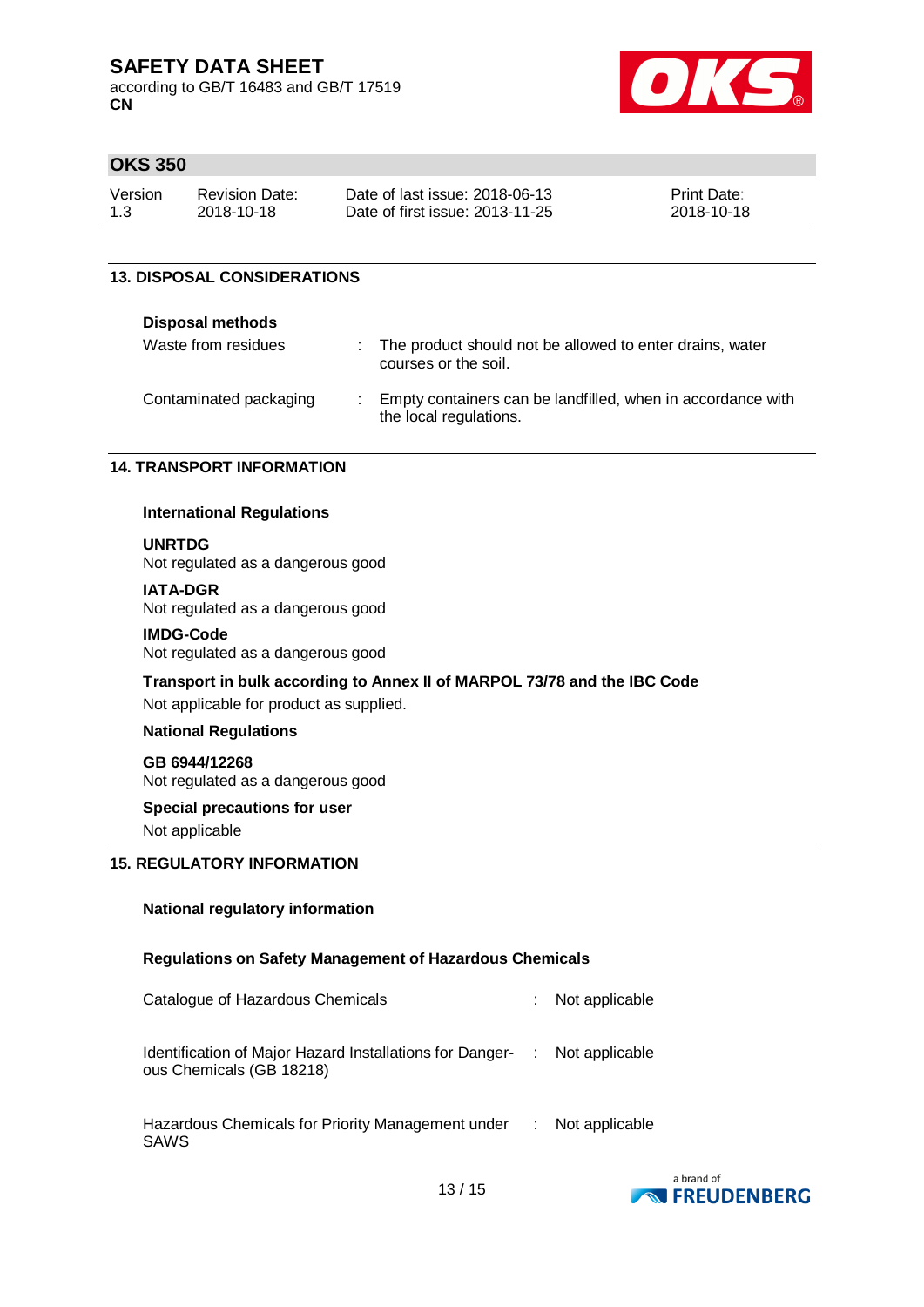according to GB/T 16483 and GB/T 17519 **CN**



### **OKS 350**

| Version | <b>Revision Date:</b> | Date of last issue: 2018-06-13  | <b>Print Date:</b> |
|---------|-----------------------|---------------------------------|--------------------|
| 1.3     | 2018-10-18            | Date of first issue: 2013-11-25 | 2018-10-18         |

#### **13. DISPOSAL CONSIDERATIONS**

#### **Disposal methods**

| Waste from residues    | : The product should not be allowed to enter drains, water<br>courses or the soil.    |
|------------------------|---------------------------------------------------------------------------------------|
| Contaminated packaging | Empty containers can be landfilled, when in accordance with<br>the local regulations. |

#### **14. TRANSPORT INFORMATION**

#### **International Regulations**

### **UNRTDG**

Not regulated as a dangerous good

#### **IATA-DGR**

Not regulated as a dangerous good

#### **IMDG-Code**

Not regulated as a dangerous good

#### **Transport in bulk according to Annex II of MARPOL 73/78 and the IBC Code**

Not applicable for product as supplied.

#### **National Regulations**

#### **GB 6944/12268**

Not regulated as a dangerous good

#### **Special precautions for user**

Not applicable

### **15. REGULATORY INFORMATION**

#### **National regulatory information**

### **Regulations on Safety Management of Hazardous Chemicals**

| Catalogue of Hazardous Chemicals                                                                      | Not applicable     |
|-------------------------------------------------------------------------------------------------------|--------------------|
| Identification of Major Hazard Installations for Danger- : Not applicable<br>ous Chemicals (GB 18218) |                    |
| Hazardous Chemicals for Priority Management under<br><b>SAWS</b>                                      | $:$ Not applicable |

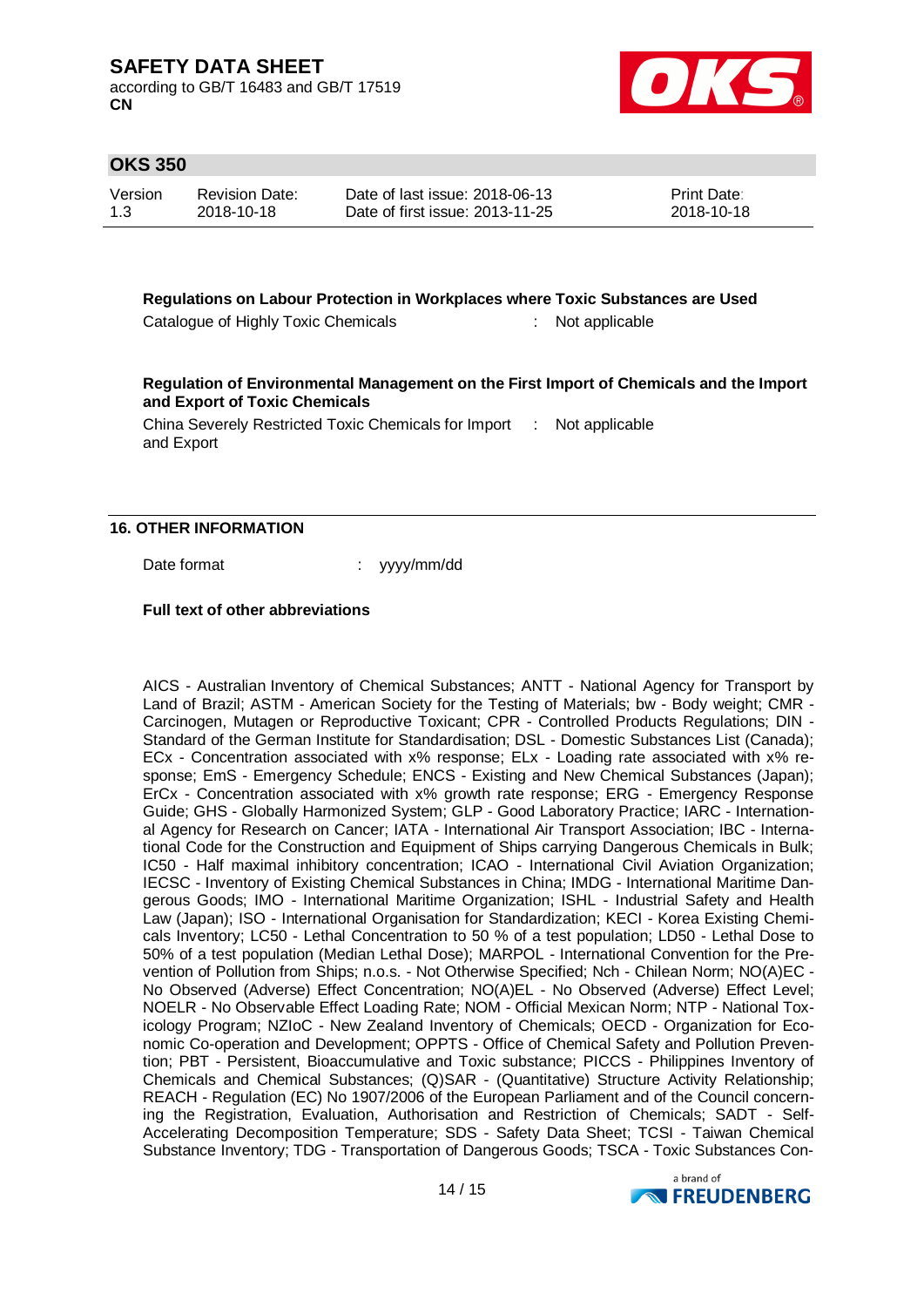according to GB/T 16483 and GB/T 17519 **CN**



### **OKS 350**

| Version | <b>Revision Date:</b> | Date of last issue: 2018-06-13  | <b>Print Date:</b> |
|---------|-----------------------|---------------------------------|--------------------|
| 1.3     | 2018-10-18            | Date of first issue: 2013-11-25 | 2018-10-18         |

**Regulations on Labour Protection in Workplaces where Toxic Substances are Used**

Catalogue of Highly Toxic Chemicals : Not applicable

**Regulation of Environmental Management on the First Import of Chemicals and the Import and Export of Toxic Chemicals**

China Severely Restricted Toxic Chemicals for Import : Not applicable and Export

#### **16. OTHER INFORMATION**

Date format : yyyy/mm/dd

**Full text of other abbreviations**

AICS - Australian Inventory of Chemical Substances; ANTT - National Agency for Transport by Land of Brazil; ASTM - American Society for the Testing of Materials; bw - Body weight; CMR - Carcinogen, Mutagen or Reproductive Toxicant; CPR - Controlled Products Regulations; DIN - Standard of the German Institute for Standardisation; DSL - Domestic Substances List (Canada); ECx - Concentration associated with x% response; ELx - Loading rate associated with x% response; EmS - Emergency Schedule; ENCS - Existing and New Chemical Substances (Japan); ErCx - Concentration associated with x% growth rate response; ERG - Emergency Response Guide; GHS - Globally Harmonized System; GLP - Good Laboratory Practice; IARC - International Agency for Research on Cancer; IATA - International Air Transport Association; IBC - International Code for the Construction and Equipment of Ships carrying Dangerous Chemicals in Bulk; IC50 - Half maximal inhibitory concentration; ICAO - International Civil Aviation Organization; IECSC - Inventory of Existing Chemical Substances in China; IMDG - International Maritime Dangerous Goods; IMO - International Maritime Organization; ISHL - Industrial Safety and Health Law (Japan); ISO - International Organisation for Standardization; KECI - Korea Existing Chemicals Inventory; LC50 - Lethal Concentration to 50 % of a test population; LD50 - Lethal Dose to 50% of a test population (Median Lethal Dose); MARPOL - International Convention for the Prevention of Pollution from Ships; n.o.s. - Not Otherwise Specified; Nch - Chilean Norm; NO(A)EC - No Observed (Adverse) Effect Concentration; NO(A)EL - No Observed (Adverse) Effect Level; NOELR - No Observable Effect Loading Rate; NOM - Official Mexican Norm; NTP - National Toxicology Program; NZIoC - New Zealand Inventory of Chemicals; OECD - Organization for Economic Co-operation and Development; OPPTS - Office of Chemical Safety and Pollution Prevention; PBT - Persistent, Bioaccumulative and Toxic substance; PICCS - Philippines Inventory of Chemicals and Chemical Substances; (Q)SAR - (Quantitative) Structure Activity Relationship; REACH - Regulation (EC) No 1907/2006 of the European Parliament and of the Council concerning the Registration, Evaluation, Authorisation and Restriction of Chemicals; SADT - Self-Accelerating Decomposition Temperature; SDS - Safety Data Sheet; TCSI - Taiwan Chemical Substance Inventory; TDG - Transportation of Dangerous Goods; TSCA - Toxic Substances Con-